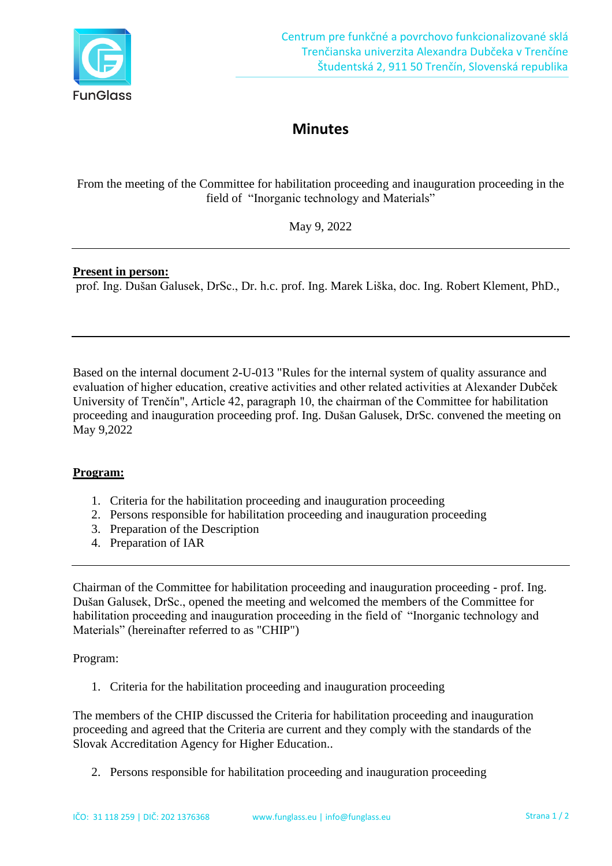

## **Minutes**

From the meeting of the Committee for habilitation proceeding and inauguration proceeding in the field of "Inorganic technology and Materials"

May 9, 2022

## **Present in person:**

prof. Ing. Dušan Galusek, DrSc., Dr. h.c. prof. Ing. Marek Liška, doc. Ing. Robert Klement, PhD.,

Based on the internal document 2-U-013 "Rules for the internal system of quality assurance and evaluation of higher education, creative activities and other related activities at Alexander Dubček University of Trenčín", Article 42, paragraph 10, the chairman of the Committee for habilitation proceeding and inauguration proceeding prof. Ing. Dušan Galusek, DrSc. convened the meeting on May 9,2022

## **Program:**

- 1. Criteria for the habilitation proceeding and inauguration proceeding
- 2. Persons responsible for habilitation proceeding and inauguration proceeding
- 3. Preparation of the Description
- 4. Preparation of IAR

Chairman of the Committee for habilitation proceeding and inauguration proceeding - prof. Ing. Dušan Galusek, DrSc., opened the meeting and welcomed the members of the Committee for habilitation proceeding and inauguration proceeding in the field of "Inorganic technology and Materials" (hereinafter referred to as "CHIP")

Program:

1. Criteria for the habilitation proceeding and inauguration proceeding

The members of the CHIP discussed the Criteria for habilitation proceeding and inauguration proceeding and agreed that the Criteria are current and they comply with the standards of the Slovak Accreditation Agency for Higher Education..

2. Persons responsible for habilitation proceeding and inauguration proceeding